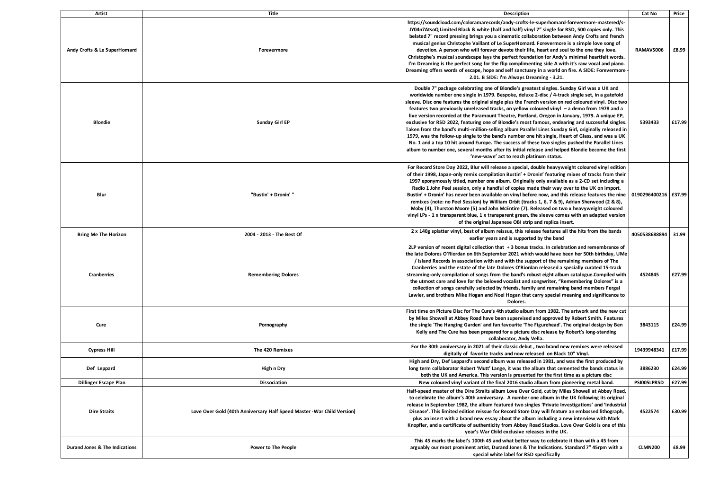| Artist                         | Title                                                                   | Description                                                                                                                                                                                                                                                                                                                                                                                                                                                                                                                                                                                                                                                                                                                                                                                                                                                                                                                                                                                                                                                                    | Cat No               | Price  |
|--------------------------------|-------------------------------------------------------------------------|--------------------------------------------------------------------------------------------------------------------------------------------------------------------------------------------------------------------------------------------------------------------------------------------------------------------------------------------------------------------------------------------------------------------------------------------------------------------------------------------------------------------------------------------------------------------------------------------------------------------------------------------------------------------------------------------------------------------------------------------------------------------------------------------------------------------------------------------------------------------------------------------------------------------------------------------------------------------------------------------------------------------------------------------------------------------------------|----------------------|--------|
| Andy Crofts & Le SuperHomard   | Forevermore                                                             | https://soundcloud.com/coloramarecords/andy-crofts-le-superhomard-forevermore-mastered/s-<br>JY04n7AtsoQ Limited Black & white (half and half) vinyl 7" single for RSD, 500 copies only. This<br>belated 7" record pressing brings you a cinematic collaboration between Andy Crofts and french<br>musical genius Christophe Vaillant of Le SuperHomard. Forevermore is a simple love song of<br>devotion. A person who will forever devote their life, heart and soul to the one they love.<br>Christophe's musical soundscape lays the perfect foundation for Andy's minimal heartfelt words.<br>I'm Dreaming is the perfect song for the flip complimenting side A with it's raw vocal and piano.<br>Dreaming offers words of escape, hope and self sanctuary in a world on fire. A SIDE: Forevermore<br>2.01. B SIDE: I'm Always Dreaming - 3.21.                                                                                                                                                                                                                          | RAMAVS006            | £8.99  |
| <b>Blondie</b>                 | Sunday Girl EP                                                          | Double 7" package celebrating one of Blondie's greatest singles. Sunday Girl was a UK and<br>worldwide number one single in 1979. Bespoke, deluxe 2-disc / 4-track single set, in a gatefold<br>sleeve. Disc one features the original single plus the French version on red coloured vinyl. Disc two<br>features two previously unreleased tracks, on yellow coloured vinyl - a demo from 1978 and a<br>live version recorded at the Paramount Theatre, Portland, Oregon in January, 1979. A unique EP,<br>exclusive for RSD 2022, featuring one of Blondie's most famous, endearing and successful singles.<br>Taken from the band's multi-million-selling album Parallel Lines Sunday Girl, originally released in<br>1979, was the follow-up single to the band's number one hit single, Heart of Glass, and was a UK<br>No. 1 and a top 10 hit around Europe. The success of these two singles pushed the Parallel Lines<br>album to number one, several months after its initial release and helped Blondie become the first<br>'new-wave' act to reach platinum status. | 5393433              | £17.99 |
| Blur                           | "Bustin' + Dronin' "                                                    | For Record Store Day 2022, Blur will release a special, double heavyweight coloured vinyl edition<br>of their 1998, Japan-only remix compilation Bustin' + Dronin' featuring mixes of tracks from their<br>1997 eponymously titled, number one album. Originally only available as a 2-CD set including a<br>Radio 1 John Peel session, only a handful of copies made their way over to the UK on import.<br>Bustin' + Dronin' has never been available on vinyl before now, and this release features the nine<br>remixes (note: no Peel Session) by William Orbit (tracks 1, 6, 7 & 9), Adrian Sherwood (2 & 8),<br>Moby (4), Thurston Moore (5) and John McEntire (7). Released on two x heavyweight coloured<br>vinyl LPs - 1 x transparent blue, 1 x transparent green, the sleeve comes with an adapted version<br>of the original Japanese OBI strip and replica insert.                                                                                                                                                                                                | 0190296400216 E37.99 |        |
| <b>Bring Me The Horizon</b>    | 2004 - 2013 - The Best Of                                               | 2 x 140g splatter vinyl, best of album reissue, this release features all the hits from the bands<br>earlier years and is supported by the band                                                                                                                                                                                                                                                                                                                                                                                                                                                                                                                                                                                                                                                                                                                                                                                                                                                                                                                                | 4050538688894        | 31.99  |
| <b>Cranberries</b>             | <b>Remembering Dolores</b>                                              | 2LP version of recent digital collection that $+3$ bonus tracks. In celebration and remembrance of<br>the late Dolores O'Riordan on 6th September 2021 which would have been her 50th birthday, UMe<br>/ Island Records in association with and with the support of the remaining members of The<br>Cranberries and the estate of the late Dolores O'Riordan released a specially curated 15-track<br>streaming-only compilation of songs from the band's robust eight album catalogue.Compiled with<br>the utmost care and love for the beloved vocalist and songwriter, "Remembering Dolores" is a<br>collection of songs carefully selected by friends, family and remaining band members Fergal<br>Lawler, and brothers Mike Hogan and Noel Hogan that carry special meaning and significance to<br>Dolores.                                                                                                                                                                                                                                                               | 4524845              | £27.99 |
| Cure                           | Pornography                                                             | First time on Picture Disc for The Cure's 4th studio album from 1982. The artwork and the new cut<br>by Miles Showell at Abbey Road have been supervised and approved by Robert Smith. Features<br>the single 'The Hanging Garden' and fan favourite 'The Figurehead'. The original design by Ben<br>Kelly and The Cure has been prepared for a picture disc release by Robert's long-standing<br>collaborator, Andy Vella.                                                                                                                                                                                                                                                                                                                                                                                                                                                                                                                                                                                                                                                    | 3843115              | £24.99 |
| <b>Cypress Hill</b>            | The 420 Remixes                                                         | For the 30th anniversary in 2021 of their classic debut, two brand new remixes were released<br>digitally of favorite tracks and now released on Black 10" Vinyl.                                                                                                                                                                                                                                                                                                                                                                                                                                                                                                                                                                                                                                                                                                                                                                                                                                                                                                              | 19439948341          | £17.99 |
| Def Leppard                    | High n Dry                                                              | High and Dry, Def Leppard's second album was released in 1981, and was the first produced by<br>long term collaborator Robert 'Mutt' Lange, it was the album that cemented the bands status in<br>both the UK and America. This version is presented for the first time as a picture disc                                                                                                                                                                                                                                                                                                                                                                                                                                                                                                                                                                                                                                                                                                                                                                                      | 3886230              | £24.99 |
| Dillinger Escape Plan          | Dissociation                                                            | New coloured vinyl variant of the final 2016 studio album from pioneering metal band.                                                                                                                                                                                                                                                                                                                                                                                                                                                                                                                                                                                                                                                                                                                                                                                                                                                                                                                                                                                          | PSI005LPRSD          | £27.99 |
| <b>Dire Straits</b>            | Love Over Gold (40th Anniversary Half Speed Master - War Child Version) | Half-speed master of the Dire Straits album Love Over Gold, cut by Miles Showell at Abbey Road,<br>to celebrate the album's 40th anniversary. A number one album in the UK following its original<br>release in September 1982, the album featured two singles 'Private Investigations' and 'Industrial<br>Disease'. This limited edition reissue for Record Store Day will feature an embossed lithograph,<br>plus an insert with a brand new essay about the album including a new interview with Mark<br>Knopfler, and a certificate of authenticity from Abbey Road Studios. Love Over Gold is one of this<br>year's War Child exclusive releases in the UK.                                                                                                                                                                                                                                                                                                                                                                                                               | 4522574              | £30.99 |
| Durand Jones & The Indications | <b>Power to The People</b>                                              | This 45 marks the label's 100th 45 and what better way to celebrate it than with a 45 from<br>arguably our most prominent artist, Durand Jones & The Indications. Standard 7" 45rpm with a<br>special white label for RSD specifically                                                                                                                                                                                                                                                                                                                                                                                                                                                                                                                                                                                                                                                                                                                                                                                                                                         | <b>CLMN200</b>       | £8.99  |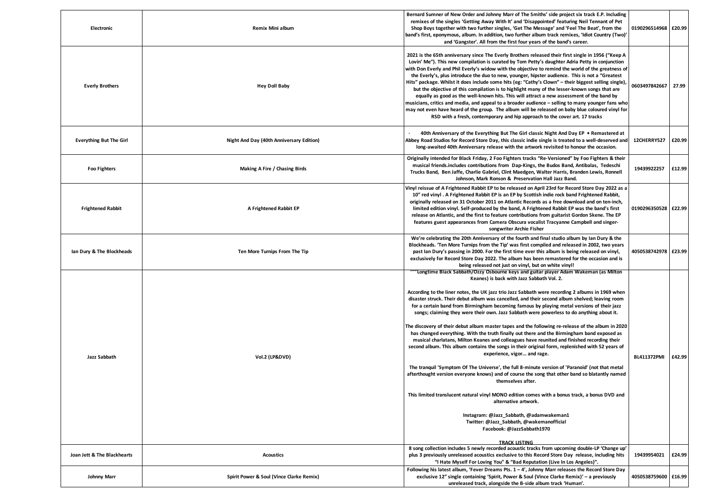| Electronic                     | Remix Mini album                         | Bernard Sumner of New Order and Johnny Marr of The Smiths' side project six track E.P. Including<br>remixes of the singles 'Getting Away With It' and 'Disappointed' featuring Neil Tennant of Pet<br>Shop Boys together with two further singles, 'Get The Message' and 'Feel The Beat', from the<br>'band's first, eponymous, album. In addition, two further album track remixes, 'Idiot Country (Two)<br>and 'Gangster'. All from the first four years of the band's career.                                                                                                                                                                                                                                                                                                                                                                                                                                                                                                                                                                                                                                                                                                                                                                                                                                                                                                 | 0190296514968 £20.99 |        |
|--------------------------------|------------------------------------------|----------------------------------------------------------------------------------------------------------------------------------------------------------------------------------------------------------------------------------------------------------------------------------------------------------------------------------------------------------------------------------------------------------------------------------------------------------------------------------------------------------------------------------------------------------------------------------------------------------------------------------------------------------------------------------------------------------------------------------------------------------------------------------------------------------------------------------------------------------------------------------------------------------------------------------------------------------------------------------------------------------------------------------------------------------------------------------------------------------------------------------------------------------------------------------------------------------------------------------------------------------------------------------------------------------------------------------------------------------------------------------|----------------------|--------|
| <b>Everly Brothers</b>         | <b>Hey Doll Baby</b>                     | 2021 is the 65th anniversary since The Everly Brothers released their first single in 1956 ("Keep A<br>Lovin' Me"). This new compilation is curated by Tom Petty's daughter Adria Petty in conjunction<br>with Don Everly and Phil Everly's widow with the objective to remind the world of the greatness of<br>the Everly's, plus introduce the duo to new, younger, hipster audience. This is not a "Greatest"<br>Hits" package. Whilst it does include some hits (eg: "Cathy's Clown" - their biggest selling single)<br>but the objective of this compilation is to highlight many of the lesser-known songs that are<br>equally as good as the well-known hits. This will attract a new assessment of the band by<br>musicians, critics and media, and appeal to a broader audience - selling to many younger fans who<br>may not even have heard of the group. The album will be released on baby blue coloured vinyl for<br>RSD with a fresh, contemporary and hip approach to the cover art. 17 tracks                                                                                                                                                                                                                                                                                                                                                                   | 0603497842667        | 27.99  |
| <b>Everything But The Girl</b> | Night And Day (40th Anniversary Edition) | 40th Anniversary of the Everything But The Girl classic Night And Day EP • Remastered at<br>Abbey Road Studios for Record Store Day, this classic indie single is treated to a well-deserved and<br>long-awaited 40th Anniversary release with the artwork revisited to honour the occasion.                                                                                                                                                                                                                                                                                                                                                                                                                                                                                                                                                                                                                                                                                                                                                                                                                                                                                                                                                                                                                                                                                     | 12CHERRY527          | £20.99 |
| <b>Foo Fighters</b>            | Making A Fire / Chasing Birds            | Originally intended for Black Friday, 2 Foo Fighters tracks "Re-Versioned" by Foo Fighters & their<br>musical friends.includes contributions from Dap-Kings, the Budos Band, Antibalas, Tedeschi<br>Trucks Band, Ben Jaffe, Charlie Gabriel, Clint Maedgen, Walter Harris, Branden Lewis, Ronnell<br>Johnson, Mark Ronson & Preservation Hall Jazz Band.                                                                                                                                                                                                                                                                                                                                                                                                                                                                                                                                                                                                                                                                                                                                                                                                                                                                                                                                                                                                                         | 19439922257          | £12.99 |
| <b>Frightened Rabbit</b>       | A Frightened Rabbit EP                   | Vinyl reissue of A Frightened Rabbit EP to be released on April 23rd for Record Store Day 2022 as a<br>10" red vinyl. A Frightened Rabbit EP is an EP by Scottish indie rock band Frightened Rabbit,<br>originally released on 31 October 2011 on Atlantic Records as a free download and on ten-inch,<br>limited edition vinyl. Self-produced by the band, A Frightened Rabbit EP was the band's first<br>release on Atlantic, and the first to feature contributions from guitarist Gordon Skene. The EP<br>features guest appearances from Camera Obscura vocalist Tracyanne Campbell and singer-<br>songwriter Archie Fisher                                                                                                                                                                                                                                                                                                                                                                                                                                                                                                                                                                                                                                                                                                                                                 | 0190296350528        | £22.99 |
| Ian Dury & The Blockheads      | Ten More Turnips From The Tip            | We're celebrating the 20th Anniversary of the fourth and final studio album by Ian Dury & the<br>Blockheads. 'Ten More Turnips from the Tip' was first compiled and released in 2002, two years<br>past Ian Dury's passing in 2000. For the first time ever this album is being released on vinyl,<br>exclusively for Record Store Day 2022. The album has been remastered for the occasion and is<br>being released not just on vinyl, but on white vinyl!<br>"Longtime Black Sabbath/Ozzy Osbourne keys and guitar player Adam Wakeman (as Milton                                                                                                                                                                                                                                                                                                                                                                                                                                                                                                                                                                                                                                                                                                                                                                                                                              | 4050538742978 £23.99 |        |
| Jazz Sabbath                   | Vol.2 (LP&DVD)                           | Keanes) is back with Jazz Sabbath Vol. 2.<br>According to the liner notes, the UK jazz trio Jazz Sabbath were recording 2 albums in 1969 when<br>disaster struck. Their debut album was cancelled, and their second album shelved; leaving room<br>for a certain band from Birmingham becoming famous by playing metal versions of their jazz<br>songs; claiming they were their own. Jazz Sabbath were powerless to do anything about it.<br>The discovery of their debut album master tapes and the following re-release of the album in 2020<br>has changed everything. With the truth finally out there and the Birmingham band exposed as<br>musical charlatans, Milton Keanes and colleagues have reunited and finished recording their<br>second album. This album contains the songs in their original form, replenished with 52 years of<br>experience, vigor and rage.<br>The tranquil 'Symptom Of The Universe', the full 8-minute version of 'Paranoid' (not that metal<br>afterthought version everyone knows) and of course the song that other band so blatantly named<br>themselves after.<br>This limited translucent natural vinyl MONO edition comes with a bonus track, a bonus DVD and<br>alternative artwork.<br>Instagram: @Jazz_Sabbath, @adamwakeman1<br>Twitter: @Jazz Sabbath, @wakemanofficial<br>Facebook: @JazzSabbath1970<br><b>TRACK LISTING</b> | <b>BL411372PMI</b>   | £42.99 |
| Joan Jett & The Blackhearts    | <b>Acoustics</b>                         | 8 song collection includes 5 newly recorded acoustic tracks from upcoming double-LP 'Change up'<br>plus 3 previously unreleased acoustics exclusive to this Record Store Day release, including hits<br>"I Hate Myself For Loving You" & "Bad Reputation (Live In Los Angeles)".                                                                                                                                                                                                                                                                                                                                                                                                                                                                                                                                                                                                                                                                                                                                                                                                                                                                                                                                                                                                                                                                                                 | 19439954021          | £24.99 |
| Johnny Marr                    | Spirit Power & Soul (Vince Clarke Remix) | Following his latest album, 'Fever Dreams Pts. $1 - 4'$ , Johnny Marr releases the Record Store Day<br>exclusive 12" single containing 'Spirit, Power & Soul (Vince Clarke Remix)' - a previously<br>unreleased track, alongside the B-side album track 'Human'.                                                                                                                                                                                                                                                                                                                                                                                                                                                                                                                                                                                                                                                                                                                                                                                                                                                                                                                                                                                                                                                                                                                 | 4050538759600        | £16.99 |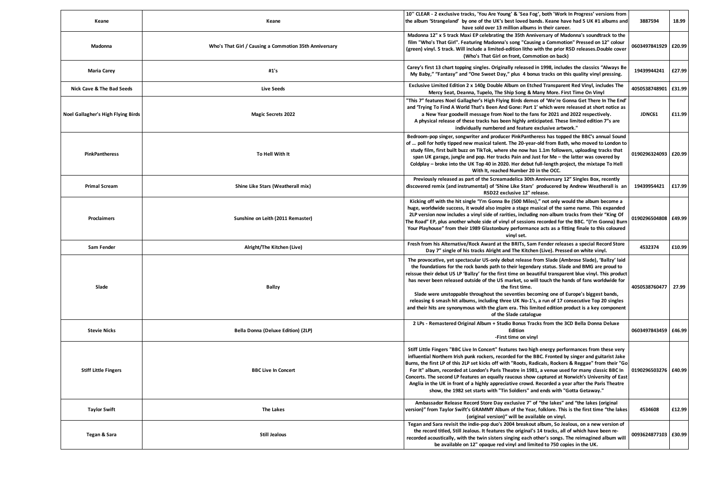| Keane                              | Keane                                                  | 10" CLEAR - 2 exclusive tracks, 'You Are Young' & 'Sea Fog', both 'Work In Progress' versions from<br>the album 'Strangeland' by one of the UK's best loved bands. Keane have had 5 UK #1 albums and                                                                                                                                                                                                                                                                                                                                                                                                                                                                                                                                                           | 3887594                | 18.99  |
|------------------------------------|--------------------------------------------------------|----------------------------------------------------------------------------------------------------------------------------------------------------------------------------------------------------------------------------------------------------------------------------------------------------------------------------------------------------------------------------------------------------------------------------------------------------------------------------------------------------------------------------------------------------------------------------------------------------------------------------------------------------------------------------------------------------------------------------------------------------------------|------------------------|--------|
| Madonna                            | Who's That Girl / Causing a Commotion 35th Anniversary | have sold over 13 million albums in their career.<br>Madonna 12" x 5 track Maxi EP celebrating the 35th Anniversary of Madonna's soundtrack to the<br>film "Who's That Girl". Featuring Madonna's song "Causing a Commotion" Pressed on 12" colour<br>(green) vinyl. 5 track. Will include a limited-edition litho with the prior RSD releases.Double cover<br>(Who's That Girl on front, Commotion on back)                                                                                                                                                                                                                                                                                                                                                   | 0603497841929 £20.99   |        |
| <b>Maria Carey</b>                 | #1's                                                   | Carey's first 13 chart topping singles. Originally released in 1998, includes the classics "Always Be<br>My Baby," "Fantasy" and "One Sweet Day," plus 4 bonus tracks on this quality vinyl pressing.                                                                                                                                                                                                                                                                                                                                                                                                                                                                                                                                                          | 19439944241            | £27.99 |
| Nick Cave & The Bad Seeds          | <b>Live Seeds</b>                                      | Exclusive Limited Edition 2 x 140g Double Album on Etched Transparent Red Vinyl, includes The<br>Mercy Seat, Deanna, Tupelo, The Ship Song & Many More. First Time On Vinyl                                                                                                                                                                                                                                                                                                                                                                                                                                                                                                                                                                                    | 4050538748901 £31.99   |        |
| Noel Gallagher's High Flying Birds | <b>Magic Secrets 2022</b>                              | "This 7" features Noel Gallagher's High Flying Birds demos of 'We're Gonna Get There In The End'<br>and 'Trying To Find A World That's Been And Gone: Part 1' which were released at short notice as<br>a New Year goodwill message from Noel to the fans for 2021 and 2022 respectively.<br>A physical release of these tracks has been highly anticipated. These limited edition 7"s are<br>individually numbered and feature exclusive artwork."                                                                                                                                                                                                                                                                                                            | JDNC61                 | £11.99 |
| <b>PinkPantheress</b>              | To Hell With It                                        | Bedroom-pop singer, songwriter and producer PinkPantheress has topped the BBC's annual Sound<br>of  poll for hotly tipped new musical talent. The 20-year-old from Bath, who moved to London to<br>study film, first built buzz on TikTok, where she now has 1.1m followers, uploading tracks that<br>span UK garage, jungle and pop. Her tracks Pain and Just for Me - the latter was covered by<br>Coldplay - broke into the UK Top 40 in 2020. Her debut full-length project, the mixtape To Hell<br>With It. reached Number 20 in the OCC.                                                                                                                                                                                                                 | 0190296324093 £20.99   |        |
| <b>Primal Scream</b>               | Shine Like Stars (Weatherall mix)                      | Previously released as part of the Screamadelica 30th Anniversary 12" Singles Box, recently<br>discovered remix (and instrumental) of 'Shine Like Stars' producered by Andrew Weatherall is an<br>RSD22 exclusive 12" release.                                                                                                                                                                                                                                                                                                                                                                                                                                                                                                                                 | 19439954421            | £17.99 |
| <b>Proclaimers</b>                 | Sunshine on Leith (2011 Remaster)                      | Kicking off with the hit single "I'm Gonna Be (500 Miles)," not only would the album become a<br>huge, worldwide success, it would also inspire a stage musical of the same name. This expanded<br>2LP version now includes a vinyl side of rarities, including non-album tracks from their "King Of<br>The Road" EP, plus another whole side of vinyl of sessions recorded for the BBC. "(I'm Gonna) Burn<br>Your Playhouse" from their 1989 Glastonbury performance acts as a fitting finale to this coloured<br>vinyl set.                                                                                                                                                                                                                                  | 0190296504808   £49.99 |        |
| Sam Fender                         | Alright/The Kitchen (Live)                             | Fresh from his Alternative/Rock Award at the BRITs, Sam Fender releases a special Record Store<br>Day 7" single of his tracks Alright and The Kitchen (Live). Pressed on white vinyl.                                                                                                                                                                                                                                                                                                                                                                                                                                                                                                                                                                          | 4532374                | £10.99 |
| Slade                              | <b>Ballzy</b>                                          | The provocative, yet spectacular US-only debut release from Slade (Ambrose Slade), 'Ballzy' laid<br>the foundations for the rock bands path to their legendary status. Slade and BMG are proud to<br>reissue their debut US LP 'Ballzy' for the first time on beautiful transparent blue vinyl. This product<br>has never been released outside of the US market, so will touch the hands of fans worldwide for<br>the first time.<br>Slade were unstoppable throughout the seventies becoming one of Europe's biggest bands,<br>releasing 6 smash hit albums, including three UK No-1's, a run of 17 consecutive Top 20 singles<br>and their hits are synonymous with the glam era. This limited edition product is a key component<br>of the Slade catalogue | 4050538760477 27.99    |        |
| <b>Stevie Nicks</b>                | Bella Donna (Deluxe Edition) (2LP)                     | 2 LPs - Remastered Original Album + Studio Bonus Tracks from the 3CD Bella Donna Deluxe<br>Edition<br>-First time on vinyl                                                                                                                                                                                                                                                                                                                                                                                                                                                                                                                                                                                                                                     | 0603497843459 £46.99   |        |
| <b>Stiff Little Fingers</b>        | <b>BBC Live In Concert</b>                             | Stiff Little Fingers "BBC Live In Concert" features two high energy performances from these very<br>influential Northern Irish punk rockers, recorded for the BBC. Fronted by singer and guitarist Jake<br>Burns, the first LP of this 2LP set kicks off with "Roots, Radicals, Rockers & Reggae" from their "Go<br>For It" album, recorded at London's Paris Theatre in 1981, a venue used for many classic BBC In<br>Concerts. The second LP features an equally raucous show captured at Norwich's University of East<br>Anglia in the UK in front of a highly appreciative crowd. Recorded a year after the Paris Theatre<br>show, the 1982 set starts with "Tin Soldiers" and ends with "Gotta Getaway."                                                  | 0190296503276 £40.99   |        |
| <b>Taylor Swift</b>                | <b>The Lakes</b>                                       | Ambassador Release Record Store Day exclusive 7" of "the lakes" and "the lakes (original<br>version)" from Taylor Swift's GRAMMY Album of the Year, folklore. This is the first time "the lakes<br>(original version)" will be available on vinyl.                                                                                                                                                                                                                                                                                                                                                                                                                                                                                                             | 4534608                | £12.99 |
| Tegan & Sara                       | <b>Still Jealous</b>                                   | Tegan and Sara revisit the indie-pop duo's 2004 breakout album, So Jealous, on a new version of<br>the record titled, Still Jealous. It features the original's 14 tracks, all of which have been re-<br>recorded acoustically, with the twin sisters singing each other's songs. The reimagined album will<br>be available on 12" opaque red vinyl and limited to 750 copies in the UK.                                                                                                                                                                                                                                                                                                                                                                       | 0093624877103 £30.99   |        |